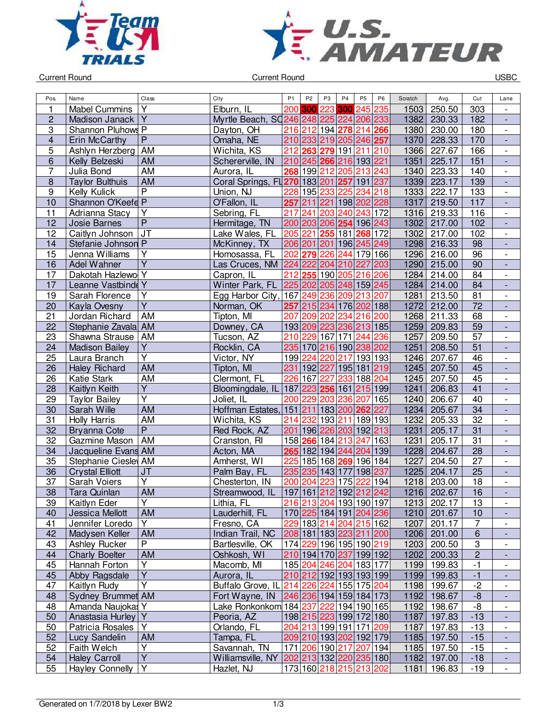



Current Round USBC

| Pos.                    | Name                   | Class                   | City                                                     | P <sub>1</sub>          | P <sub>2</sub> | P <sub>3</sub>          | P <sub>4</sub>  | P <sub>5</sub> | P <sub>6</sub>          | Scratch | Avg.                       | Cut             | Lane                         |
|-------------------------|------------------------|-------------------------|----------------------------------------------------------|-------------------------|----------------|-------------------------|-----------------|----------------|-------------------------|---------|----------------------------|-----------------|------------------------------|
| 1                       | <b>Mabel Cummins</b>   | Υ                       | Elburn. IL                                               | 200                     | 300            | 223                     | 300             |                | 245 235                 | 1503    | 250.50                     | 303             |                              |
| $\overline{\mathbf{c}}$ | Madison Janack         | $\overline{Y}$          | Myrtle Beach, SQ246 248 225 224                          |                         |                |                         |                 |                | 206 233                 | 1382    | 230.33                     | 182             | $\frac{1}{2}$                |
| 3                       | Shannon Pluhows P      |                         | Dayton, OH                                               |                         | 216 212        | 194 278                 |                 | 214 266        |                         | 1380    | 230.00                     | 180             | $\overline{\phantom{0}}$     |
| $\overline{\mathbf{4}}$ | Erin McCarthy          | $\overline{P}$          | Omaha, NE                                                | 210                     | 233            |                         | 219 205 246 257 |                |                         | 1370    | 228.33                     | 170             | $\overline{a}$               |
| 5                       | Ashlyn Herzberg AM     |                         | Wichita, KS                                              | 212                     | 263            |                         | 279 191         |                | 211 210                 | 1366    | 227.67                     | 166             | $\blacksquare$               |
| 6                       | Kelly Belzeski         | AM                      | Schererville, IN                                         |                         |                | 210 245 266 216 193 221 |                 |                |                         | 1351    | 225.17                     | 151             | $\blacksquare$               |
| 7                       | Julia Bond             | <b>AM</b>               | Aurora, IL                                               | 268                     |                | 199 212                 | 205             |                | 213 243                 | 1340    | 223.33                     | 140             | $\overline{\phantom{a}}$     |
| $\bf 8$                 | <b>Taylor Bulthuis</b> | AM                      | Coral Springs, FL 270 183 201 257                        |                         |                |                         |                 | 191 237        |                         | 1339    | 223.17                     | 139             | $\overline{\phantom{a}}$     |
| $\boldsymbol{9}$        | <b>Kelly Kulick</b>    | $\overline{P}$          | Union, NJ                                                | 228                     |                | 195 233                 | 225             | 234            | 218                     | 1333    | 222.17                     | 133             | $\overline{\phantom{0}}$     |
| $\overline{10}$         | Shannon O'Keefe P      |                         | O'Fallon, IL                                             | 257                     | 211            | 221 198                 |                 |                | 202 228                 | 1317    | 219.50                     | 117             | $\qquad \qquad \blacksquare$ |
| 11                      | Adrianna Stacy         | Y                       | Sebring, FL                                              | 217                     | 241            | 203                     | 240             |                | 243 172                 | 1316    | 219.33                     | 116             | $\overline{\phantom{0}}$     |
| 12                      | <b>Josie Barnes</b>    | $\overline{P}$          | Hermitage, TN                                            | 200                     | 203            | 206 254                 |                 |                | 196 243                 | 1302    | 217.00                     | 102             | $\overline{\phantom{a}}$     |
| 12                      | Caitlyn Johnson        | JT                      | Lake Wales, FL                                           | 205                     | 221            | 255                     | 181             |                | 268 172                 | 1302    | 217.00                     | 102             | $\overline{\phantom{0}}$     |
| 14                      | Stefanie Johnson P     |                         | McKinney, TX                                             | 206 201                 |                | 201                     | 196             |                | 245 249                 | 1298    | 216.33                     | 98              |                              |
| $\overline{15}$         | Jenna Williams         | $\overline{\mathsf{Y}}$ | Homosassa, FL                                            | 202                     | 279            |                         | 226 244         |                | 179 166                 | 1296    | 216.00                     | $\overline{96}$ | $\blacksquare$               |
| 16                      | Adel Wahner            | $\overline{Y}$          | Las Cruces, NM 224 222                                   |                         |                | 204 210                 |                 | 227 203        |                         | 1290    | 215.00                     | 90              | ÷,                           |
| 17                      | Dakotah Hazlewo Y      |                         | Capron, IL                                               | 212                     | 255            |                         | 190 205         |                | 216 206                 | 1284    | 214.00                     | 84              | $\overline{\phantom{0}}$     |
| 17                      | Leanne Vastbinde Y     |                         | Winter Park, FL                                          | 225                     | 202            | 205 248 159 245         |                 |                |                         | 1284    | 214.00                     | 84              | $\overline{\phantom{a}}$     |
| 19                      | Sarah Florence         | Υ                       | Egg Harbor City,                                         |                         | 167 249        | 236                     | 209             |                | 213 207                 | 1281    | 213.50                     | 81              | $\overline{\phantom{a}}$     |
| 20                      | Kayla Ovesny           | $\overline{\mathsf{Y}}$ | Norman, OK                                               | 257                     |                | 215 234 176 202 188     |                 |                |                         | 1272    | 212.00                     | 72              | ٠                            |
| 21                      | Jordan Richard         | AM                      | Tipton, MI                                               | 207                     |                | 209 202                 | 234             |                | 216 200                 | 1268    | 211.33                     | 68              | $\overline{\phantom{a}}$     |
| 22                      | Stephanie Zavala AM    |                         | Downey, CA                                               |                         |                | 193 209 223 236 213 185 |                 |                |                         | 1259    | 209.83                     | 59              | $\frac{1}{2}$                |
| 23                      | Shawna Strause         | AM                      | Tucson, AZ                                               | 210                     | 229            | 167 171                 |                 | 244            | 236                     | 1257    | 209.50                     | 57              | $\overline{\phantom{0}}$     |
| 24                      | <b>Madison Bailey</b>  | Υ                       | Rocklin, CA                                              |                         |                | 235 170 216 190 238 202 |                 |                |                         | 1251    | 208.50                     | 51              |                              |
| 25                      | Laura Branch           | $\overline{\mathsf{Y}}$ | Victor, NY                                               |                         | 199 224        | 220 217                 |                 |                | 193 193                 | 1246    | 207.67                     | 46              | $\frac{1}{2}$                |
| 26                      | <b>Haley Richard</b>   | <b>AM</b>               | Tipton, MI                                               |                         |                | 231 192 227 195 181 219 |                 |                |                         | 1245    | 207.50                     | $\overline{45}$ | $\overline{a}$               |
| 26                      | <b>Katie Stark</b>     | AM                      | Clermont, FL                                             | 226                     | 167            | 227                     |                 | 233 188 204    |                         | 1245    | 207.50                     | 45              | $\frac{1}{2}$                |
| 28                      | Kaitlyn Keith          | $\overline{\mathsf{Y}}$ | Bloomingdale, IL                                         | 187                     |                | 223 256 161             |                 | 215 199        |                         | 1241    | 206.83                     | 41              | $\overline{\phantom{a}}$     |
| 29                      | Taylor Bailey          | Υ                       | Joliet, IL                                               | 200                     | 229            | 203                     | 236             | 207            | 165                     | 1240    | 206.67                     | 40              | $\overline{\phantom{a}}$     |
| 30                      | Sarah Wille            | <b>AM</b>               | Hoffman Estates,                                         | 151                     | 211            | 183 200                 |                 | 262 227        |                         | 1234    | 205.67                     | 34              | ٠                            |
| $\overline{31}$         | <b>Holly Harris</b>    | $\overline{AM}$         | Wichita, KS                                              | 214                     | 232            | 193                     | 211             |                | 189 193                 | 1232    | 205.33                     | $\overline{32}$ | $\overline{\phantom{0}}$     |
| 32                      | <b>Bryanna Cote</b>    | $\overline{P}$          | Red Rock, AZ                                             | 201                     |                | 196 226 203             |                 |                | 192 213                 | 1231    | 205.17                     | 31              |                              |
| 32                      | Gazmine Mason          | AM                      | Cranston, RI                                             |                         | 158 266        |                         | 184 213         | 247            | 163                     | 1231    | 205.17                     | 31              | $\overline{\phantom{0}}$     |
| 34                      | Jacqueline Evans AM    |                         | Acton, MA                                                | 265                     |                | 182 194  <b>244</b>     |                 |                | 204 139                 | 1228    | 204.67                     | 28              | $\frac{1}{2}$                |
| 35                      | Stephanie Ciesley AM   |                         | Amherst, WI                                              | 225                     |                | 185 168 269 196 184     |                 |                |                         | 1227    | 204.50                     | 27              |                              |
| 36                      | <b>Crystal Elliott</b> | <b>JT</b>               | Palm Bay, FL                                             |                         | 235 235        | 143 177                 |                 |                | 198 237                 | 1225    | 204.17                     | $\overline{25}$ | $\frac{1}{2}$                |
| 37                      | Sarah Voiers           | Y                       | Chesterton, IN                                           | 200                     | 204            | 223                     | 175             | 222            | 194                     | 1218    | 203.00                     | 18              | $\overline{\phantom{0}}$     |
| 38                      | Tara Quinlan           | AM                      | Streamwood, IL                                           |                         |                | 197 161 212 192 212 242 |                 |                |                         | 1216    | 202.67                     | 16              | L,                           |
| 39                      | Kaitlyn Eder           | Y                       | Lithia, FL                                               |                         |                | 216 213 204 193 190 197 |                 |                |                         |         | 1213 202.17                | 13              | $\overline{\phantom{a}}$     |
| 40                      | Jessica Mellott        | AM                      | Lauderhill, FL                                           |                         |                |                         |                 |                | 170 225 184 191 204 236 |         | 1210 201.67                | 10              | -                            |
| 41                      | Jennifer Loredo        | Y                       | Fresno, CA                                               |                         |                | 229 183 214 204 215 162 |                 |                |                         | 1207    | 201.17                     | 7               | -                            |
| 42                      | Madysen Keller         | AM                      | Indian Trail, NC                                         |                         |                | 208 181 183 223 211 200 |                 |                |                         |         | 1206 201.00                | $\overline{6}$  |                              |
| 43                      | <b>Ashley Rucker</b>   | $\overline{P}$          | Bartlesville, OK                                         |                         |                | 174 229 196 195 190 219 |                 |                |                         |         | 1203 200.50                | 3               | $\overline{\phantom{a}}$     |
| 44                      | <b>Charly Boelter</b>  | <b>AM</b>               | Oshkosh, WI                                              |                         |                | 210 194 170 237 199 192 |                 |                |                         |         | 1202 200.33                | $\overline{2}$  |                              |
| 45                      | Hannah Forton          | Y                       | Macomb, MI                                               |                         |                | 185 204 246 204 183 177 |                 |                |                         |         |                            | $-1$            |                              |
| 45                      | Abby Ragsdale          | $\overline{Y}$          | Aurora, IL                                               |                         |                | 210 212 192 193 193 199 |                 |                |                         |         | 1199 199.83<br>1199 199.83 | $-1$            |                              |
| 47                      | Kaitlyn Rudy           | Y                       | Buffalo Grove, IL 214 226 224 155 175 204                |                         |                |                         |                 |                |                         |         | 1198 199.67                | $-2$            | $\overline{\phantom{0}}$     |
| 48                      |                        |                         |                                                          | 246 236 194 159 184 173 |                |                         |                 |                |                         |         | 1192 198.67                |                 |                              |
|                         | Sydney Brummet AM      |                         | Fort Wayne, IN<br>Lake Ronkonkom 184 237 222 194 190 165 |                         |                |                         |                 |                |                         |         |                            | $-8$            | $\qquad \qquad \blacksquare$ |
| 48                      | Amanda Naujokas Y      | Υ                       |                                                          |                         |                |                         |                 |                |                         |         | 1192 198.67                | -8              | $\qquad \qquad \blacksquare$ |
| 50                      | Anastasia Hurley       | Υ                       | Peoria, AZ                                               |                         |                | 198 215 223 199 172 180 |                 |                |                         | 1187    | 1187 197.83                | $-13$           | -                            |
| 50                      | Patricia Rosales       |                         | Orlando, FL                                              |                         |                | 204 213 199 191 171 209 |                 |                |                         |         | 197.83                     | $-13$           | $\overline{\phantom{0}}$     |
| 52                      | Lucy Sandelin          | <b>AM</b>               | Tampa, FL                                                |                         |                | 209 210 193 202 192 179 |                 |                |                         |         | 1185 197.50                | $-15$           | ٠                            |
| 52                      | Faith Welch            | Υ<br>$\overline{Y}$     | Savannah, TN                                             |                         |                | 171 206 190 217 207 194 |                 |                |                         | 1185    | 197.50                     | $-15$           | $\overline{\phantom{0}}$     |
| 54                      | <b>Haley Carroll</b>   |                         | Williamsville, NY 202 213 132 220 235 180                |                         |                |                         |                 |                |                         |         | 1182 197.00                | $-18$           |                              |
| 55                      | <b>Hayley Connelly</b> | $\overline{Y}$          | Hazlet, NJ                                               |                         |                | 173 160 218 215 213 202 |                 |                |                         | 1181    | 196.83                     | $-19$           | $\blacksquare$               |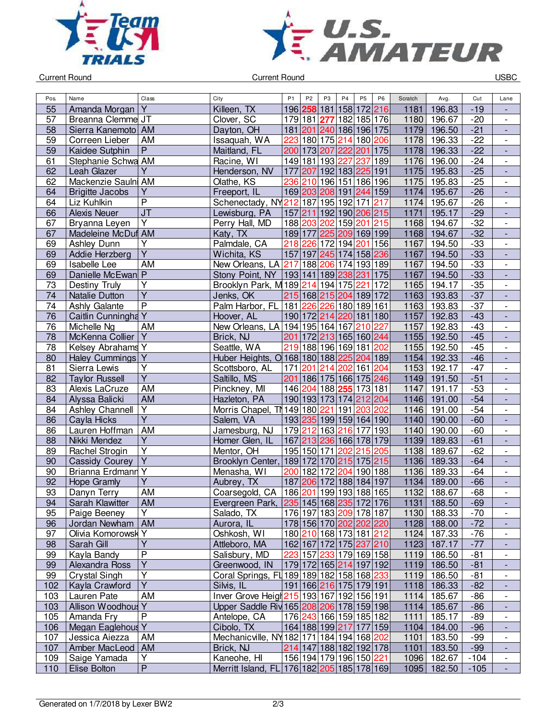



Current Round USBC

| Pos.            | Name                            | Class                   | City                                                       | P <sub>1</sub> | P <sub>2</sub> | P <sub>3</sub> | P <sub>4</sub>          | P <sub>5</sub> | P <sub>6</sub> | Scratch | Avg.                  | Cut            | Lane                          |
|-----------------|---------------------------------|-------------------------|------------------------------------------------------------|----------------|----------------|----------------|-------------------------|----------------|----------------|---------|-----------------------|----------------|-------------------------------|
| 55              | Amanda Morgan                   | Y                       | Killeen, TX                                                |                | 196 258        | 181            | 158                     | 172 216        |                | 1181    | 196.83                | $-19$          |                               |
| 57              | Breanna Clemme JT               |                         | Clover, SC                                                 | 179 181        |                | 277            | 182                     | 185 176        |                | 1180    | 196.67                | $-20$          | $\overline{\phantom{a}}$      |
| 58              | Sierra Kanemoto   AM            |                         | Dayton, OH                                                 |                |                |                | 181 201 240 186 196 175 |                |                | 1179    | 196.50                | $-21$          | $\overline{\phantom{a}}$      |
| 59              | Correen Lieber                  | AM                      | Issaquah, WA                                               | 223            |                |                | 180 175 214 180 206     |                |                | 1178    | 196.33                | $-22$          | $\overline{\phantom{a}}$      |
| 59              | Kaidee Sutphin                  | $\overline{P}$          | Maitland, FL                                               |                | 200 173 207    |                | 222 201 175             |                |                | 1178    | 196.33                | $-22$          | $\overline{\phantom{a}}$      |
| 61              | Stephanie Schwa AM              |                         | Racine, WI                                                 |                |                |                | 149 181 193 227         | 237            | 189            | 1176    | 196.00                | $-24$          | $\overline{\phantom{a}}$      |
| 62              | Leah Glazer                     | $\overline{Y}$          | Henderson, NV                                              | 177            |                |                | 207 192 183 225 191     |                |                | 1175    | 195.83                | $-25$          | $\Box$                        |
| 62              | Mackenzie Saulni AM             |                         | Olathe, KS                                                 | 236            |                |                | 210 196 151 186 196     |                |                | 1175    | 195.83                | $-25$          | $\overline{\phantom{a}}$      |
| 64              | <b>Brigitte Jacobs</b>          | $\overline{Y}$          | Freeport, IL                                               |                |                |                | 169 203 208 191 244 159 |                |                | 1174    | 195.67                | $-26$          | $\frac{1}{2}$                 |
| 64              | Liz Kuhlkin                     | $\overline{\mathsf{P}}$ | Schenectady, NY212 187 195 192 171 217                     |                |                |                |                         |                |                | 1174    | 195.67                | $-26$          | $\overline{\phantom{a}}$      |
| 66              | <b>Alexis Neuer</b>             | J <sub>T</sub>          | Lewisburg, PA                                              |                |                |                | 157 211 192 190 206 215 |                |                | 1171    | 195.17                | $-29$          | $\blacksquare$                |
| 67              | Bryanna Leyen                   | $\overline{\mathsf{Y}}$ | Perry Hall, MD                                             |                |                | 188 203 202    |                         | 159 201 215    |                | 1168    | 194.67                | $-32$          | $\overline{\phantom{a}}$      |
| 67              | Madeleine McDuf AM              |                         | Katy, TX                                                   |                | 189 177        | 225            | 209 169 199             |                |                | 1168    | 194.67                | $-32$          |                               |
| 69              | Ashley Dunn                     | Υ                       | Palmdale, CA                                               |                |                | 218 226 172    | 194                     | 201 156        |                | 1167    | 194.50                | $-33$          | $\overline{\phantom{a}}$      |
| 69              | Addie Herzberg                  | $\overline{Y}$          | Wichita, KS                                                |                |                |                | 157 197 245 174 158 236 |                |                | 1167    | 194.50                | $-33$          | $\overline{\phantom{a}}$      |
| 69              | Isabelle Lee                    | AM                      | New Orleans, LA 217                                        |                |                |                | 188 206 174 193 189     |                |                | 1167    | 194.50                | $-33$          | $\blacksquare$                |
| 69              | Danielle McEwan P               |                         | Stony Point, NY   193   141   189 238 231                  |                |                |                |                         |                | 175            | 1167    | 194.50                | $-33$          | $\Box$                        |
| 73              | Destiny Truly                   | $\overline{Y}$          | Brooklyn Park, M 189 214 194 175                           |                |                |                |                         | 221            | 172            | 1165    | 194.17                | $-35$          | $\blacksquare$                |
| 74              | Natalie Dutton                  | $\overline{Y}$          | Jenks, OK                                                  |                |                |                | 215 168 215 204 189 172 |                |                | 1163    | 193.83                | $-37$          | $\overline{\phantom{a}}$      |
| 74              | Ashly Galante                   | $\overline{P}$          | Palm Harbor, FL 181 226 226 180 189 161                    |                |                |                |                         |                |                | 1163    | 193.83                | $-37$          | $\overline{\phantom{a}}$      |
| $\overline{76}$ | Caitlin Cunningha Y             |                         | Hoover, AL                                                 |                |                |                | 190 172 214 220 181 180 |                |                | 1157    | 192.83                | $-43$          | $\overline{\phantom{a}}$      |
| 76              | Michelle Ng                     | AM                      | New Orleans, LA   194   195   164   167                    |                |                |                |                         | 210 227        |                | 1157    | 192.83                | $-43$          | $\overline{\phantom{a}}$      |
| 78              | McKenna Collier                 | ΙY                      | Brick, NJ                                                  | 201            |                |                | 172 213 165 160 244     |                |                | 1155    | 192.50                | $-45$          | $\overline{\phantom{a}}$      |
| 78              | Kelsey Abrahams Y               |                         | Seattle, WA                                                |                |                |                | 219 188 196 169 181 202 |                |                | 1155    | 192.50                | $-45$          | $\overline{\phantom{a}}$      |
| 80              | Haley Cummings Y                |                         | Huber Heights, 0 168 180 188 225 204 189                   |                |                |                |                         |                |                | 1154    | 192.33                | $-46$          |                               |
| 81              | Sierra Lewis                    | $\overline{\mathsf{Y}}$ | Scottsboro, AL                                             | 171            |                |                | 201 214 202 161 204     |                |                | 1153    | 192.17                | $-47$          | $\blacksquare$                |
| 82              | <b>Taylor Russell</b>           | $\overline{Y}$          | Saltillo, MS                                               | 201            |                |                | 186 175 166 175 246     |                |                | 1149    | 191.50                | $-51$          | $\overline{\phantom{a}}$      |
| 83              | Alexis LaCruze                  | AM                      | Pinckney, MI                                               |                |                |                | 146 204 188 255         | 173 181        |                | 1147    | 191.17                | $-53$          | $\blacksquare$                |
| 84              | Alyssa Balicki                  | <b>AM</b>               | Hazleton, PA                                               |                |                |                | 190 193 173 174 212 204 |                |                | 1146    | 191.00                | $-54$          | $\frac{1}{2}$                 |
| 84              | Ashley Channell                 | $\overline{\mathsf{Y}}$ | Morris Chapel, T149 180 221                                |                |                |                | 191                     | 203 202        |                | 1146    | 191.00                | $-54$          | $\qquad \qquad \blacksquare$  |
| 86              | Cayla Hicks                     | $\overline{Y}$          | Salem, VA                                                  |                |                |                | 193 235 199 159 164 190 |                |                | 1140    | 190.00                | $-60$          | $\overline{\phantom{a}}$      |
| 86              | Lauren Hoffman                  | AM                      | Jamesburg, NJ                                              |                |                |                | 179 212 163 216         | 177 193        |                | 1140    | 190.00                | $-60$          | $\overline{\phantom{a}}$      |
| 88              | Nikki Mendez                    | Υ                       | Homer Glen, IL                                             |                |                |                | 167 213 236 166 178 179 |                |                | 1139    | 189.83                | $-61$          |                               |
| 89              | Rachel Strogin                  | $\overline{\mathsf{Y}}$ | Mentor, OH                                                 |                |                | 195 150 171    |                         | 202 215 205    |                | 1138    | 189.67                | $-62$          | $\overline{\phantom{a}}$      |
| 90              | <b>Cassidy Courey</b>           | $\overline{Y}$          | Brooklyn Center,                                           |                | 189 172        |                | 170 215                 | 175 215        |                | 1136    | 189.33                | $-64$          |                               |
| 90              | <b>Brianna Erdmann Y</b>        |                         | Menasha, WI                                                |                |                |                | 200 182 172 204         | 190 188        |                | 1136    | 189.33                | $-64$          | $\blacksquare$                |
| 92              | Hope Gramly                     | $\overline{\mathsf{Y}}$ | Aubrey, TX                                                 |                |                |                | 187 206 172 188 184 197 |                |                | 1134    | 189.00                | $-66$          | $\blacksquare$                |
| 93              | Danyn Terry                     | AM                      | Coarsegold, CA                                             |                |                |                | 186 201 199 193 188 165 |                |                | 1132    | 188.67                | $-68$          | $\frac{1}{2}$                 |
| 94              | Sarah Klawitter                 | <b>AM</b>               | Evergreen Park, 235 145 168 235 172 176                    |                |                |                |                         |                |                |         | 1131 188.50           | $-69$          | ٠                             |
| 95              | Paige Beeney                    | Y                       | Salado, TX                                                 |                |                |                | 176 197 183 209 178 187 |                |                |         | 1130 188.33           | $-70$          | $\qquad \qquad \blacksquare$  |
| 96              | Jordan Newham                   | AM                      | Aurora, IL                                                 |                |                |                | 178 156 170 202 202 220 |                |                |         | 1128 188.00           | $-72$          |                               |
| 97              | Olivia Komorowsk Y              |                         | Oshkosh, WI                                                |                |                |                | 180 210 168 173 181 212 |                |                |         | 1124 187.33           | $-76$          | -<br>$\overline{\phantom{a}}$ |
| 98              | Sarah Gill                      | $\overline{Y}$          | Attleboro, MA                                              |                |                |                | 162 167 172 175 237 210 |                |                | 1123    | 187.17                | $-77$          |                               |
| 99              | Kayla Bandy                     | P                       | Salisbury, MD                                              |                |                | 223 157 233    |                         | 179 169 158    |                | 1119    | 186.50                | $-81$          | $\overline{\phantom{a}}$      |
| 99              | Alexandra Ross                  | Υ                       |                                                            |                |                |                | 179 172 165 214 197 192 |                |                | 1119    | 186.50                | $-81$          |                               |
| 99              | <b>Crystal Singh</b>            | $\overline{Y}$          | Greenwood, IN<br>Coral Springs, FL 189 189 182 158 168 233 |                |                |                |                         |                |                | 1119    | 186.50                | $-81$          | $\overline{\phantom{a}}$      |
| 102             | Kayla Crawford                  | $\overline{Y}$          | Silvis, IL                                                 |                |                |                | 191 166 216 175 179 191 |                |                |         | 1118 186.33           | $-82$          | $\blacksquare$                |
|                 |                                 | AM                      |                                                            |                |                |                |                         |                |                |         |                       |                |                               |
| 103             | Lauren Pate                     |                         | Inver Grove Heigh 215 193 167 192 156 191                  |                |                |                |                         |                |                |         | 1114 185.67           | $-86$          | $\overline{\phantom{a}}$      |
| 103             | Allison Woodhous Y              | $\mathsf{P}$            | Upper Saddle Riv 165 208 206 178 159 198                   |                |                |                |                         |                |                |         | 1114 185.67           | $-86$          | $\overline{\phantom{a}}$      |
| 105             | Amanda Fry<br>Megan Eaglehous Y |                         | Antelope, CA                                               |                |                |                | 176 243 166 159 185 182 |                |                | 1111    | 185.17                | -89            | $\qquad \qquad \blacksquare$  |
| 106<br>107      |                                 |                         | Cibolo, TX<br>Mechanicville, NY 182 171 184 194 168 202    |                |                |                | 164 188 199 217 177 159 |                |                | 1101    | 1104 184.00<br>183.50 | $-96$<br>$-99$ | -                             |
|                 | Jessica Aiezza                  | AM<br>AM                |                                                            |                |                |                |                         |                |                |         |                       | $-99$          | $\overline{\phantom{a}}$      |
| 107             | Amber MacLeod<br>Saige Yamada   | Υ                       | Brick, NJ<br>Kaneohe, HI                                   |                |                |                | 214 147 188 182 192 178 |                |                | 1101    | 183.50<br>182.67      | $-104$         | $\overline{\phantom{a}}$      |
| 109             |                                 | $\overline{P}$          |                                                            |                |                |                | 156 194 179 196 150 221 |                |                | 1096    |                       |                | $\overline{\phantom{a}}$      |
| 110             | Elise Bolton                    |                         | Merritt Island, FL 176 182 205 185 178 169                 |                |                |                |                         |                |                |         | 1095 182.50           | $-105$         |                               |